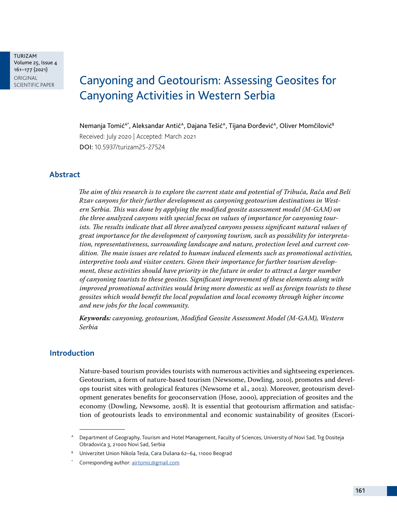TURIZAM Volume 25, Issue 4 161–177 (2021) ORIGINAL<br>SCIENTIFIC PAPER

# Canyoning and Geotourism: Assessing Geosites for Canyoning Activities in Western Serbia

Nemanja Tomić<sup>A\*</sup>, Aleksandar Antić<sup>A</sup>, Dajana Tešić<sup>A</sup>, Tijana Đorđević<sup>A</sup>, Oliver Momčilović<sup>B</sup> Received: July 2020 | Accepted: March 2021 DOI: 10.5937/turizam25-27524

### **Abstract**

*The aim of this research is to explore the current state and potential of Tribuća, Rača and Beli Rzav canyons for their further development as canyoning geotourism destinations in Western Serbia. This was done by applying the modified geosite assessment model (M-GAM) on the three analyzed canyons with special focus on values of importance for canyoning tourists. The results indicate that all three analyzed canyons possess significant natural values of great importance for the development of canyoning tourism, such as possibility for interpretation, representativeness, surrounding landscape and nature, protection level and current condition. The main issues are related to human induced elements such as promotional activities, interpretive tools and visitor centers. Given their importance for further tourism development, these activities should have priority in the future in order to attract a larger number of canyoning tourists to these geosites. Significant improvement of these elements along with improved promotional activities would bring more domestic as well as foreign tourists to these geosites which would benefit the local population and local economy through higher income and new jobs for the local community.*

*Keywords: canyoning, geotourism, Modified Geosite Assessment Model (M-GAM), Western Serbia*

#### **Introduction**

Nature-based tourism provides tourists with numerous activities and sightseeing experiences. Geotourism, a form of nature-based tourism (Newsome, Dowling, 2010), promotes and develops tourist sites with geological features (Newsome et al., 2012). Moreover, geotourism development generates benefits for geoconservation (Hose, 2000), appreciation of geosites and the economy (Dowling, Newsome, 2018). It is essential that geotourism affirmation and satisfaction of geotourists leads to environmental and economic sustainability of geosites (Escori-

A Department of Geography, Tourism and Hotel Management, Faculty of Sciences, University of Novi Sad, Trg Dositeja Obradovića 3, 21000 Novi Sad, Serbia

<sup>B</sup> Univerzitet Union Nikola Tesla, Cara Dušana 62–64, 11000 Beograd

Corresponding author: [airtomic@gmail.com](mailto:airtomic%40gmail.com?subject=)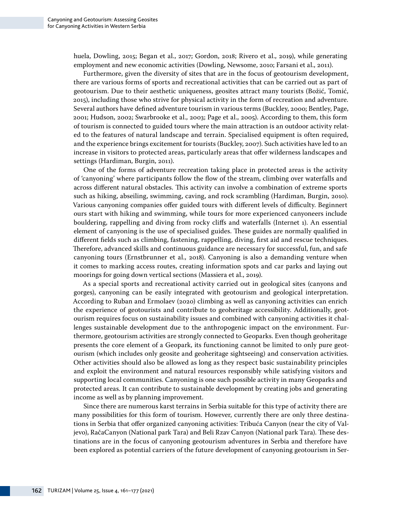huela, Dowling, 2015; Began et al., 2017; Gordon, 2018; Rivero et al., 2019), while generating employment and new economic activities (Dowling, Newsome, 2010; Farsani et al., 2011).

Furthermore, given the diversity of sites that are in the focus of geotourism development, there are various forms of sports and recreational activities that can be carried out as part of geotourism. Due to their aesthetic uniqueness, geosites attract many tourists (Božić, Tomić, 2015), including those who strive for physical activity in the form of recreation and adventure. Several authors have defined adventure tourism in various terms (Buckley, 2000; Bentley, Page, 2001; Hudson, 2002; Swarbrooke et al., 2003; Page et al., 2005). According to them, this form of tourism is connected to guided tours where the main attraction is an outdoor activity related to the features of natural landscape and terrain. Specialised equipment is often required, and the experience brings excitement for tourists (Buckley, 2007). Such activities have led to an increase in visitors to protected areas, particularly areas that offer wilderness landscapes and settings (Hardiman, Burgin, 2011).

One of the forms of adventure recreation taking place in protected areas is the activity of 'canyoning' where participants follow the flow of the stream, climbing over waterfalls and across different natural obstacles. This activity can involve a combination of extreme sports such as hiking, abseiling, swimming, caving, and rock scrambling (Hardiman, Burgin, 2010). Various canyoning companies offer guided tours with different levels of difficulty. Beginnert ours start with hiking and swimming, while tours for more experienced canyoneers include bouldering, rappelling and diving from rocky cliffs and waterfalls (Internet 1). An essential element of canyoning is the use of specialised guides. These guides are normally qualified in different fields such as climbing, fastening, rappelling, diving, first aid and rescue techniques. Therefore, advanced skills and continuous guidance are necessary for successful, fun, and safe canyoning tours (Ernstbrunner et al., 2018). Canyoning is also a demanding venture when it comes to marking access routes, creating information spots and car parks and laying out moorings for going down vertical sections (Massiera et al., 2019).

As a special sports and recreational activity carried out in geological sites (canyons and gorges), canyoning can be easily integrated with geotourism and geological interpretation. According to Ruban and Ermolaev (2020) climbing as well as canyoning activities can enrich the experience of geotourists and contribute to geoheritage accessibility. Additionally, geotourism requires focus on sustainability issues and combined with canyoning activities it challenges sustainable development due to the anthropogenic impact on the environment. Furthermore, geotourism activities are strongly connected to Geoparks. Even though geoheritage presents the core element of a Geopark, its functioning cannot be limited to only pure geotourism (which includes only geosite and geoheritage sightseeing) and conservation activities. Other activities should also be allowed as long as they respect basic sustainability principles and exploit the environment and natural resources responsibly while satisfying visitors and supporting local communities. Canyoning is one such possible activity in many Geoparks and protected areas. It can contribute to sustainable development by creating jobs and generating income as well as by planning improvement.

Since there are numerous karst terrains in Serbia suitable for this type of activity there are many possibilities for this form of tourism. However, currently there are only three destinations in Serbia that offer organized canyoning activities: Tribuća Canyon (near the city of Valjevo), RačaCanyon (National park Tara) and Beli Rzav Canyon (National park Tara). These destinations are in the focus of canyoning geotourism adventures in Serbia and therefore have been explored as potential carriers of the future development of canyoning geotourism in Ser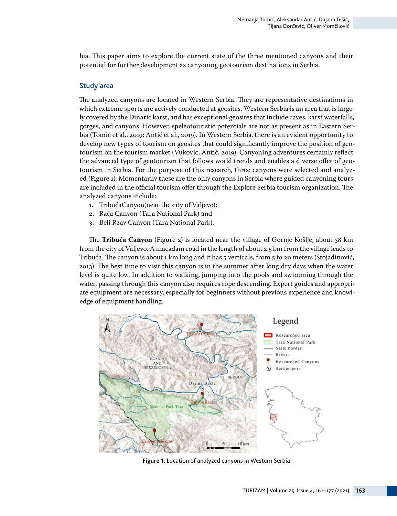bia. This paper aims to explore the current state of the three mentioned canyons and their potential for further development as canyoning geotourism destinations in Serbia.

#### Study area

The analyzed canyons are located in Western Serbia. They are representative destinations in which extreme sports are actively conducted at geosites. Western Serbia is an area that is largely covered by the Dinaric karst, and has exceptional geosites that include caves, karst waterfalls, gorges, and canyons. However, speleotouristic potentials are not as present as in Eastern Serbia (Tomić et al., 2019; Antić et al., 2019). In Western Serbia, there is an evident opportunity to develop new types of tourism on geosites that could significantly improve the position of geotourism on the tourism market (Vuković, Antić, 2019). Canyoning adventures certainly reflect the advanced type of geotourism that follows world trends and enables a diverse offer of geotourism in Serbia. For the purpose of this research, three canyons were selected and analyzed (Figure 1). Momentarily these are the only canyons in Serbia where guided canyoning tours are included in the official tourism offer through the Explore Serbia tourism organization. The analyzed canyons include:

- 1. TribućaCanyon(near the city of Valjevo);
- 2. Rača Canyon (Tara National Park) and
- 3. Beli Rzav Canyon (Tara National Park).

The **Tribuća Canyon** (Figure 2) is located near the village of Gornje Košlje, about 38 km from the city of Valjevo. A macadam road in the length of about 2.5 km from the village leads to Tribuća. The canyon is about 1 km long and it has 5 verticals, from 5 to 20 meters (Stojadinović, 2013). The best time to visit this canyon is in the summer after long dry days when the water level is quite low. In addition to walking, jumping into the pools and swimming through the water, passing through this canyon also requires rope descending. Expert guides and appropriate equipment are necessary, especially for beginners without previous experience and knowledge of equipment handling.



**Figure 1.** Location of analyzed canyons in Western Serbia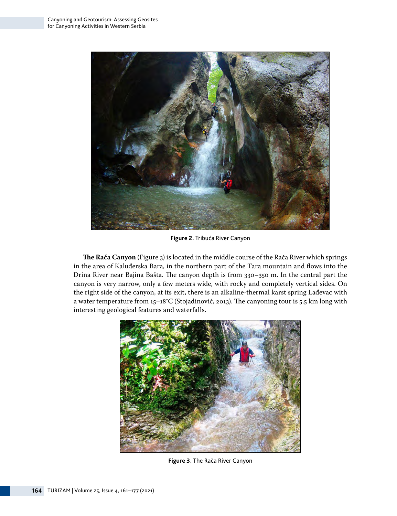

**Figure 2.** Tribuća River Canyon

**The Rača Canyon** (Figure 3) is located in the middle course of the Rača River which springs in the area of Kaluđerska Bara, in the northern part of the Tara mountain and flows into the Drina River near Bajina Bašta. The canyon depth is from 330–350 m. In the central part the canyon is very narrow, only a few meters wide, with rocky and completely vertical sides. On the right side of the canyon, at its exit, there is an alkaline-thermal karst spring Lađevac with a water temperature from 15–18°C (Stojadinović, 2013). The canyoning tour is 5.5 km long with interesting geological features and waterfalls.



**Figure 3.** The Rača River Canyon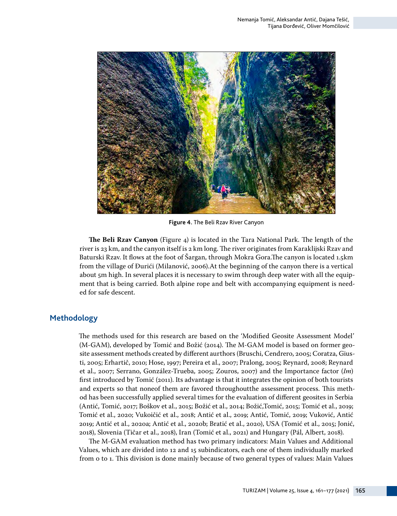

**Figure 4.** The Beli Rzav River Canyon

**The Beli Rzav Canyon** (Figure 4) is located in the Tara National Park. The length of the river is 23 km, and the canyon itself is 2 km long. The river originates from Karaklijski Rzav and Baturski Rzav. It flows at the foot of Šargan, through Mokra Gora.The canyon is located 1.5km from the village of Đurići (Milanović, 2006).At the beginning of the canyon there is a vertical about 5m high. In several places it is necessary to swim through deep water with all the equipment that is being carried. Both alpine rope and belt with accompanying equipment is needed for safe descent.

### **Methodology**

The methods used for this research are based on the 'Modified Geosite Assessment Model' (M-GAM), developed by Tomić and Božić (2014). The M-GAM model is based on former geosite assessment methods created by different aurthors (Bruschi, Cendrero, 2005; Coratza, Giusti, 2005; Erhartič, 2010; Hose, 1997; Pereira et al., 2007; Pralong, 2005; Reynard, 2008; Reynard et al., 2007; Serrano, González-Trueba, 2005; Zouros, 2007) and the Importance factor (*Im*) first introduced by Tomić (2011). Its advantage is that it integrates the opinion of both tourists and experts so that noneof them are favored throughoutthe assessment process. This method has been successfully applied several times for the evaluation of different geosites in Serbia (Antić, Tomić, 2017; Boškov et al., 2015; Božić et al., 2014; Božić,Tomić, 2015; Tomić et al., 2019; Tomić et al., 2020; Vukoičić et al., 2018; Antić et al., 2019; Antić, Tomić, 2019; Vuković, Antić 2019; Antić et al., 2020a; Antić et al., 2020b; Bratić et al., 2020), USA (Tomić et al., 2015; Jonić, 2018), Slovenia (Tičar et al., 2018), Iran (Tomić et al., 2021) and Hungary (Pál, Albert, 2018).

The M-GAM evaluation method has two primary indicators: Main Values and Additional Values, which are divided into 12 and 15 subindicators, each one of them individually marked from 0 to 1. This division is done mainly because of two general types of values: Main Values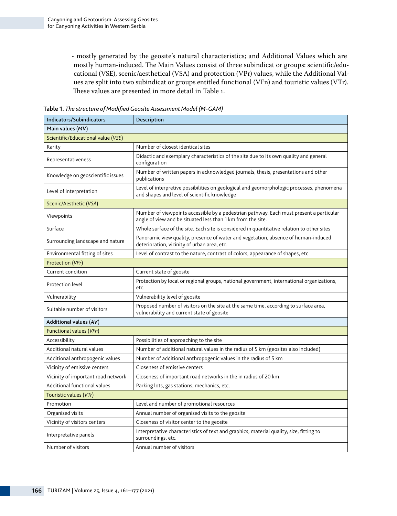- mostly generated by the geosite's natural characteristics; and Additional Values which are mostly human-induced. The Main Values consist of three subindicat or groups: scientific/educational (VSE), scenic/aesthetical (VSA) and protection (VPr) values, while the Additional Values are split into two subindicat or groups entitled functional (VFn) and touristic values (VTr). These values are presented in more detail in Table 1.

| <b>Indicators/Subindicators</b>    | Description                                                                                                                                            |  |  |  |  |  |  |
|------------------------------------|--------------------------------------------------------------------------------------------------------------------------------------------------------|--|--|--|--|--|--|
| Main values $(MV)$                 |                                                                                                                                                        |  |  |  |  |  |  |
| Scientific/Educational value (VSE) |                                                                                                                                                        |  |  |  |  |  |  |
| Rarity                             | Number of closest identical sites                                                                                                                      |  |  |  |  |  |  |
| Representativeness                 | Didactic and exemplary characteristics of the site due to its own quality and general<br>configuration                                                 |  |  |  |  |  |  |
| Knowledge on geoscientific issues  | Number of written papers in acknowledged journals, thesis, presentations and other<br>publications                                                     |  |  |  |  |  |  |
| Level of interpretation            | Level of interpretive possibilities on geological and geomorphologic processes, phenomena<br>and shapes and level of scientific knowledge              |  |  |  |  |  |  |
| Scenic/Aesthetic (VSA)             |                                                                                                                                                        |  |  |  |  |  |  |
| Viewpoints                         | Number of viewpoints accessible by a pedestrian pathway. Each must present a particular<br>angle of view and be situated less than 1 km from the site. |  |  |  |  |  |  |
| Surface                            | Whole surface of the site. Each site is considered in quantitative relation to other sites                                                             |  |  |  |  |  |  |
| Surrounding landscape and nature   | Panoramic view quality, presence of water and vegetation, absence of human-induced<br>deterioration, vicinity of urban area, etc.                      |  |  |  |  |  |  |
| Environmental fitting of sites     | Level of contrast to the nature, contrast of colors, appearance of shapes, etc.                                                                        |  |  |  |  |  |  |
| Protection (VPr)                   |                                                                                                                                                        |  |  |  |  |  |  |
| Current condition                  | Current state of geosite                                                                                                                               |  |  |  |  |  |  |
| Protection level                   | Protection by local or regional groups, national government, international organizations,<br>etc.                                                      |  |  |  |  |  |  |
| Vulnerability                      | Vulnerability level of geosite                                                                                                                         |  |  |  |  |  |  |
| Suitable number of visitors        | Proposed number of visitors on the site at the same time, according to surface area,<br>vulnerability and current state of geosite                     |  |  |  |  |  |  |
| Additional values (AV)             |                                                                                                                                                        |  |  |  |  |  |  |
| Functional values (VFn)            |                                                                                                                                                        |  |  |  |  |  |  |
| Accessibility                      | Possibilities of approaching to the site                                                                                                               |  |  |  |  |  |  |
| Additional natural values          | Number of additional natural values in the radius of 5 km (geosites also included)                                                                     |  |  |  |  |  |  |
| Additional anthropogenic values    | Number of additional anthropogenic values in the radius of 5 km                                                                                        |  |  |  |  |  |  |
| Vicinity of emissive centers       | Closeness of emissive centers                                                                                                                          |  |  |  |  |  |  |
| Vicinity of important road network | Closeness of important road networks in the in radius of 20 km                                                                                         |  |  |  |  |  |  |
| Additional functional values       | Parking lots, gas stations, mechanics, etc.                                                                                                            |  |  |  |  |  |  |
| Touristic values (VTr)             |                                                                                                                                                        |  |  |  |  |  |  |
| Promotion                          | Level and number of promotional resources                                                                                                              |  |  |  |  |  |  |
| Organized visits                   | Annual number of organized visits to the geosite                                                                                                       |  |  |  |  |  |  |
| Vicinity of visitors centers       | Closeness of visitor center to the geosite                                                                                                             |  |  |  |  |  |  |
| Interpretative panels              | Interpretative characteristics of text and graphics, material quality, size, fitting to<br>surroundings, etc.                                          |  |  |  |  |  |  |
| Number of visitors                 | Annual number of visitors                                                                                                                              |  |  |  |  |  |  |

**Table 1.** *The structure of Modified Geosite Assessment Model (M-GAM)*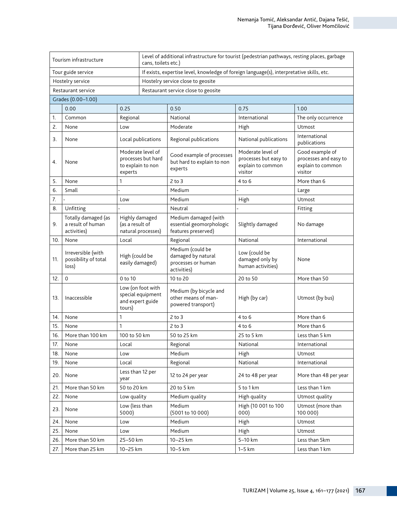| Tourism infrastructure |                                                         |                                                                         |  | Level of additional infrastructure for tourist (pedestrian pathways, resting places, garbage<br>cans, toilets etc.) |                                                                            |                                                                          |  |  |  |
|------------------------|---------------------------------------------------------|-------------------------------------------------------------------------|--|---------------------------------------------------------------------------------------------------------------------|----------------------------------------------------------------------------|--------------------------------------------------------------------------|--|--|--|
| Tour guide service     |                                                         |                                                                         |  | If exists, expertise level, knowledge of foreign language(s), interpretative skills, etc.                           |                                                                            |                                                                          |  |  |  |
| Hostelry service       |                                                         |                                                                         |  | Hostelry service close to geosite                                                                                   |                                                                            |                                                                          |  |  |  |
| Restaurant service     |                                                         |                                                                         |  | Restaurant service close to geosite                                                                                 |                                                                            |                                                                          |  |  |  |
| Grades (0.00-1.00)     |                                                         |                                                                         |  |                                                                                                                     |                                                                            |                                                                          |  |  |  |
|                        | 0.00<br>0.25                                            |                                                                         |  | 0.50                                                                                                                | 0.75                                                                       | 1.00                                                                     |  |  |  |
| 1.                     | Common                                                  | Regional                                                                |  | National                                                                                                            | International                                                              | The only occurrence                                                      |  |  |  |
| 2.                     | None                                                    | Low                                                                     |  | Moderate                                                                                                            | High                                                                       | Utmost                                                                   |  |  |  |
| 3.                     | None                                                    | Local publications                                                      |  | Regional publications                                                                                               | National publications                                                      | International<br>publications                                            |  |  |  |
| 4.                     | None                                                    | Moderate level of<br>processes but hard<br>to explain to non<br>experts |  | Good example of processes<br>but hard to explain to non<br>experts                                                  | Moderate level of<br>processes but easy to<br>explain to common<br>visitor | Good example of<br>processes and easy to<br>explain to common<br>visitor |  |  |  |
| 5.                     | None                                                    | 1                                                                       |  | $2$ to $3$                                                                                                          | $4$ to 6                                                                   | More than 6                                                              |  |  |  |
| 6.                     | Small                                                   |                                                                         |  | Medium                                                                                                              |                                                                            | Large                                                                    |  |  |  |
| 7.                     |                                                         | Low                                                                     |  | Medium                                                                                                              | High                                                                       | Utmost                                                                   |  |  |  |
| 8.                     | Unfitting                                               |                                                                         |  | Neutral                                                                                                             |                                                                            | Fitting                                                                  |  |  |  |
| 9.                     | Totally damaged (as<br>a result of human<br>activities) | Highly damaged<br>(as a result of<br>natural processes)                 |  | Medium damaged (with<br>essential geomorphologic<br>features preserved)                                             | Slightly damaged                                                           | No damage                                                                |  |  |  |
| 10.                    | None                                                    | Local                                                                   |  | Regional                                                                                                            | National                                                                   | International                                                            |  |  |  |
| 11.                    | Irreversible (with<br>possibility of total<br>loss)     | High (could be<br>easily damaged)                                       |  | Medium (could be<br>damaged by natural<br>processes or human<br>activities)                                         | Low (could be<br>damaged only by<br>human activities)                      | None                                                                     |  |  |  |
| 12.                    | $\mathbf 0$                                             | 0 to 10                                                                 |  | 10 to 20                                                                                                            | 20 to 50                                                                   | More than 50                                                             |  |  |  |
| 13.                    | Inaccessible                                            | Low (on foot with<br>special equipment<br>and expert guide<br>tours)    |  | Medium (by bicycle and<br>other means of man-<br>powered transport)                                                 | High (by car)                                                              | Utmost (by bus)                                                          |  |  |  |
| 14.                    | None                                                    | 1                                                                       |  | $2$ to $3$                                                                                                          | 4 to 6                                                                     | More than 6                                                              |  |  |  |
| 15.                    | None                                                    | 1                                                                       |  | $2$ to $3$                                                                                                          | $4$ to 6                                                                   | More than 6                                                              |  |  |  |
| 16.                    | More than 100 km                                        | 100 to 50 km                                                            |  | 50 to 25 km                                                                                                         | 25 to 5 km                                                                 | Less than 5 km                                                           |  |  |  |
| 17.                    | None                                                    | Local                                                                   |  | Regional                                                                                                            | National                                                                   | International                                                            |  |  |  |
| 18.                    | None                                                    | Low                                                                     |  | Medium                                                                                                              | High                                                                       | Utmost                                                                   |  |  |  |
| 19.                    | None                                                    | Local                                                                   |  | Regional                                                                                                            | National                                                                   | International                                                            |  |  |  |
| 20.                    | None                                                    | Less than 12 per<br>year                                                |  | 12 to 24 per year                                                                                                   | 24 to 48 per year                                                          | More than 48 per year                                                    |  |  |  |
| 21.                    | More than 50 km                                         | 50 to 20 km                                                             |  | 20 to 5 km                                                                                                          | 5 to 1 km                                                                  | Less than 1 km                                                           |  |  |  |
| 22.                    | None                                                    | Low quality                                                             |  | Medium quality                                                                                                      | High quality                                                               | Utmost quality                                                           |  |  |  |
| 23.                    | None                                                    | Low (less than<br>5000)                                                 |  | Medium<br>(5001 to 10 000)                                                                                          | High (10 001 to 100<br>000)                                                | Utmost (more than<br>100 000)                                            |  |  |  |
| 24.                    | None                                                    | Low                                                                     |  | Medium                                                                                                              | High                                                                       | Utmost                                                                   |  |  |  |
| 25.                    | None                                                    | Low                                                                     |  | Medium                                                                                                              | High                                                                       | Utmost                                                                   |  |  |  |
| 26.                    | More than 50 km                                         | 25-50 km                                                                |  | 10-25 km                                                                                                            | 5-10 km                                                                    | Less than 5km                                                            |  |  |  |
| 27.                    | More than 25 km<br>10-25 km                             |                                                                         |  | 10-5 km                                                                                                             | $1-5$ km                                                                   | Less than 1 km                                                           |  |  |  |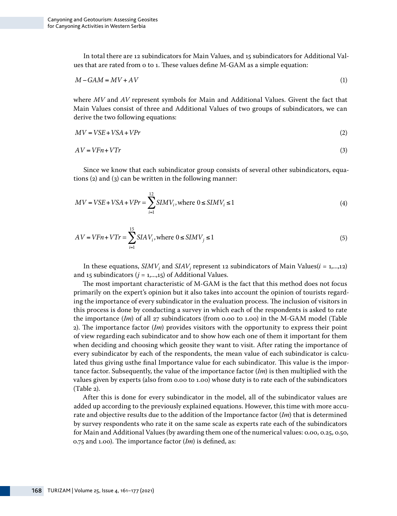In total there are 12 subindicators for Main Values, and 15 subindicators for Additional Values that are rated from 0 to 1. These values define M-GAM as a simple equation:

$$
M - GAM = MV + AV \tag{1}
$$

where *MV* and *AV* represent symbols for Main and Additional Values. Givent the fact that Main Values consist of three and Additional Values of two groups of subindicators, we can derive the two following equations:

$$
MV = VSE + VSA + VPr
$$
 (2)

$$
AV = VFn + VTr \tag{3}
$$

Since we know that each subindicator group consists of several other subindicators, equations (2) and (3) can be written in the following manner:

$$
MV = VSE + VSA + VPr = \sum_{i=1}^{12} SIMV_i, \text{where } 0 \leq SIMV_i \leq 1
$$
 (4)

$$
AV = VFn + VTr = \sum_{i=1}^{15} SIAV_i, \text{where } 0 \leq SIMV_j \leq 1
$$
 (5)

In these equations,  $SIMV_i$  and  $SIAV_j$  represent 12 subindicators of Main Values( $i = 1, ..., 12$ ) and 15 subindicators  $(j = 1, \ldots, 15)$  of Additional Values.

The most important characteristic of M-GAM is the fact that this method does not focus primarily on the expert's opinion but it also takes into account the opinion of tourists regarding the importance of every subindicator in the evaluation process. The inclusion of visitors in this process is done by conducting a survey in which each of the respondents is asked to rate the importance (*Im*) of all 27 subindicators (from 0.00 to 1.00) in the M-GAM model (Table 2). The importance factor (*Im*) provides visitors with the opportunity to express their point of view regarding each subindicator and to show how each one of them it important for them when deciding and choosing which geosite they want to visit. After rating the importance of every subindicator by each of the respondents, the mean value of each subindicator is calculated thus giving usthe final Importance value for each subindicator. This value is the importance factor. Subsequently, the value of the importance factor (*Im*) is then multiplied with the values given by experts (also from 0.00 to 1.00) whose duty is to rate each of the subindicators (Table 2).

After this is done for every subindicator in the model, all of the subindicator values are added up according to the previously explained equations. However, this time with more accurate and objective results due to the addition of the Importance factor (*Im*) that is determined by survey respondents who rate it on the same scale as experts rate each of the subindicators for Main and Additional Values (by awarding them one of the numerical values: 0.00, 0.25, 0.50, 0.75 and 1.00). The importance factor (*Im*) is defined, as: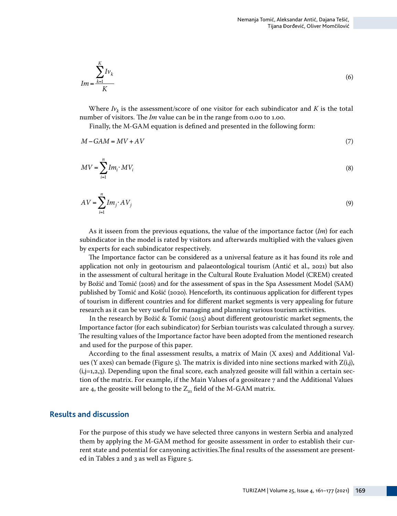$$
Im = \frac{\sum_{k=1}^{K} Iv_k}{K}
$$
 (6)

Where  $I_{V_k}$  is the assessment/score of one visitor for each subindicator and *K* is the total number of visitors. The *Im* value can be in the range from 0.00 to 1.00.

Finally, the M-GAM equation is defined and presented in the following form:

$$
M - GAM = MV + AV \tag{7}
$$

$$
MV = \sum_{i=1}^{n} Im_i \cdot MV_i \tag{8}
$$

$$
AV = \sum_{i=1}^{n} Im_j \cdot AV_j \tag{9}
$$

As it isseen from the previous equations, the value of the importance factor (*Im*) for each subindicator in the model is rated by visitors and afterwards multiplied with the values given by experts for each subindicator respectively.

The Importance factor can be considered as a universal feature as it has found its role and application not only in geotourism and palaeontological tourism (Antić et al., 2021) but also in the assessment of cultural heritage in the Cultural Route Evaluation Model (CREM) created by Božić and Tomić (2016) and for the assessment of spas in the Spa Assessment Model (SAM) published by Tomić and Košić (2020). Henceforth, its continuous application for different types of tourism in different countries and for different market segments is very appealing for future research as it can be very useful for managing and planning various tourism activities.

In the research by Božić & Tomić (2015) about different geotouristic market segments, the Importance factor (for each subindicator) for Serbian tourists was calculated through a survey. The resulting values of the Importance factor have been adopted from the mentioned research and used for the purpose of this paper.

According to the final assessment results, a matrix of Main (X axes) and Additional Values (Y axes) can bemade (Figure 5). The matrix is divided into nine sections marked with  $Z(i,j)$ ,  $(i,j=1,2,3)$ . Depending upon the final score, each analyzed geosite will fall within a certain section of the matrix. For example, if the Main Values of a geositeare 7 and the Additional Values are 4, the geosite will belong to the  $Z_{21}$  field of the M-GAM matrix.

#### **Results and discussion**

For the purpose of this study we have selected three canyons in western Serbia and analyzed them by applying the M-GAM method for geosite assessment in order to establish their current state and potential for canyoning activities.The final results of the assessment are presented in Tables 2 and 3 as well as Figure 5.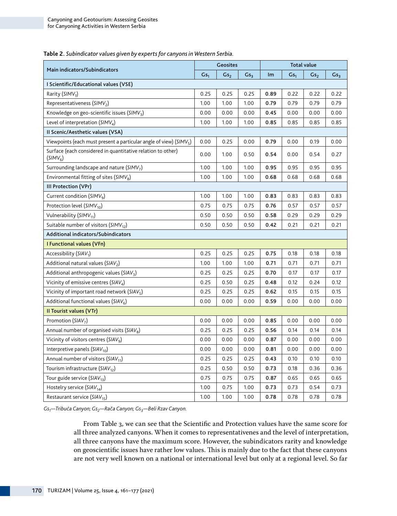| Main indicators/Subindicators                                                       |      | Geosites        |                 |      | <b>Total value</b> |                 |                 |  |
|-------------------------------------------------------------------------------------|------|-----------------|-----------------|------|--------------------|-----------------|-----------------|--|
|                                                                                     |      | Gs <sub>2</sub> | Gs <sub>3</sub> | Im   | Gs <sub>1</sub>    | Gs <sub>2</sub> | Gs <sub>3</sub> |  |
| I Scientific/Educational values (VSE)                                               |      |                 |                 |      |                    |                 |                 |  |
| Rarity (SIMV <sub>1</sub> )                                                         | 0.25 | 0.25            | 0.25            | 0.89 | 0.22               | 0.22            | 0.22            |  |
| Representativeness (SIMV <sub>2</sub> )                                             | 1.00 | 1.00            | 1.00            | 0.79 | 0.79               | 0.79            | 0.79            |  |
| Knowledge on geo-scientific issues ( $SIMV3$ )                                      | 0.00 | 0.00            | 0.00            | 0.45 | 0.00               | 0.00            | 0.00            |  |
| Level of interpretation ( $SIMV4$ )                                                 | 1.00 | 1.00            | 1.00            | 0.85 | 0.85               | 0.85            | 0.85            |  |
| II Scenic/Aesthetic values (VSA)                                                    |      |                 |                 |      |                    |                 |                 |  |
| Viewpoints (each must present a particular angle of view) ( $SIMV5$ )               | 0.00 | 0.25            | 0.00            | 0.79 | 0.00               | 0.19            | 0.00            |  |
| Surface (each considered in quantitative relation to other)<br>(SIMV <sub>6</sub> ) |      | 1.00            | 0.50            | 0.54 | 0.00               | 0.54            | 0.27            |  |
| Surrounding landscape and nature ( $SIMV7$ )                                        | 1.00 | 1.00            | 1.00            | 0.95 | 0.95               | 0.95            | 0.95            |  |
| Environmental fitting of sites ( $SIMV8$ )                                          | 1.00 | 1.00            | 1.00            | 0.68 | 0.68               | 0.68            | 0.68            |  |
| III Protection (VPr)                                                                |      |                 |                 |      |                    |                 |                 |  |
| Current condition ( $SIMVq$ )                                                       | 1.00 | 1.00            | 1.00            | 0.83 | 0.83               | 0.83            | 0.83            |  |
| Protection level (SIMV <sub>10</sub> )                                              | 0.75 | 0.75            | 0.75            | 0.76 | 0.57               | 0.57            | 0.57            |  |
| Vulnerability (SIMV <sub>11</sub> )                                                 | 0.50 | 0.50            | 0.50            | 0.58 | 0.29               | 0.29            | 0.29            |  |
| Suitable number of visitors (SIMV <sub>12</sub> )                                   |      | 0.50            | 0.50            | 0.42 | 0.21               | 0.21            | 0.21            |  |
| <b>Additional indicators/Subindicators</b>                                          |      |                 |                 |      |                    |                 |                 |  |
| I Functional values (VFn)                                                           |      |                 |                 |      |                    |                 |                 |  |
| Accessibility (SIAV <sub>1</sub> )                                                  | 0.25 | 0.25            | 0.25            | 0.75 | 0.18               | 0.18            | 0.18            |  |
| Additional natural values ( $SIAV2$ )                                               | 1.00 | 1.00            | 1.00            | 0.71 | 0.71               | 0.71            | 0.71            |  |
| Additional anthropogenic values $(SIAV3)$                                           | 0.25 | 0.25            | 0.25            | 0.70 | 0.17               | 0.17            | 0.17            |  |
| Vicinity of emissive centres ( $SIAV4$ )                                            | 0.25 | 0.50            | 0.25            | 0.48 | 0.12               | 0.24            | 0.12            |  |
| Vicinity of important road network ( $SIAV5$ )                                      | 0.25 | 0.25            | 0.25            | 0.62 | 0.15               | 0.15            | 0.15            |  |
| Additional functional values ( $SIAV6$ )                                            | 0.00 | 0.00            | 0.00            | 0.59 | 0.00               | 0.00            | 0.00            |  |
| Il Tourist values (VTr)                                                             |      |                 |                 |      |                    |                 |                 |  |
| Promotion (SIAV <sub>7</sub> )                                                      | 0.00 | 0.00            | 0.00            | 0.85 | 0.00               | 0.00            | 0.00            |  |
| Annual number of organised visits (SIAV <sub>8</sub> )                              | 0.25 | 0.25            | 0.25            | 0.56 | 0.14               | 0.14            | 0.14            |  |
| Vicinity of visitors centres ( $SIAVq$ )                                            | 0.00 | 0.00            | 0.00            | 0.87 | 0.00               | 0.00            | 0.00            |  |
| Interpretive panels ( $SIAV_{10}$ )                                                 | 0.00 | 0.00            | 0.00            | 0.81 | 0.00               | 0.00            | 0.00            |  |
| Annual number of visitors (SIAV <sub>11</sub> )                                     | 0.25 | 0.25            | 0.25            | 0.43 | 0.10               | 0.10            | 0.10            |  |
| Tourism infrastructure (SIAV <sub>12</sub> )                                        |      | 0.50            | 0.50            | 0.73 | 0.18               | 0.36            | 0.36            |  |
| Tour guide service ( $SIAV_{13}$ )                                                  | 0.75 | 0.75            | 0.75            | 0.87 | 0.65               | 0.65            | 0.65            |  |
| Hostelry service (SIAV <sub>14</sub> )                                              | 1.00 | 0.75            | 1.00            | 0.73 | 0.73               | 0.54            | 0.73            |  |
| Restaurant service ( $SIAV_{15}$ )                                                  | 1.00 | 1.00            | 1.00            | 0.78 | 0.78               | 0.78            | 0.78            |  |

**Table 2.** *Subindicator values given by experts for canyons in Western Serbia.*

*Gs1—Tribuća Canyon; Gs2—Rača Canyon; Gs3—Beli Rzav Canyon.*

From Table 3, we can see that the Scientific and Protection values have the same score for all three analyzed canyons. When it comes to representativenes and the level of interpretation, all three canyons have the maximum score. However, the subindicators rarity and knowledge on geoscientific issues have rather low values. This is mainly due to the fact that these canyons are not very well known on a national or international level but only at a regional level. So far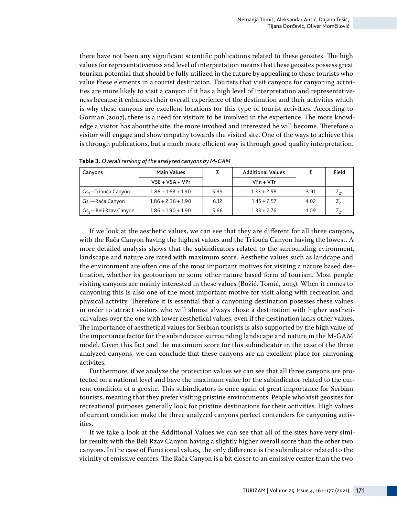there have not been any significant scientific publications related to these geosites. The high values for representativeness and level of interpretation means that these geosites possess great tourism potential that should be fully utilized in the future by appealing to those tourists who value these elements in a tourist destination. Tourists that visit canyons for canyoning activities are more likely to visit a canyon if it has a high level of interpretation and representativeness because it enhances their overall experience of the destination and their activities which is why these canyons are excellent locations for this type of tourist activities. According to Gorman (2007), there is a need for visitors to be involved in the experience. The more knowledge a visitor has aboutthe site, the more involved and interested he will become. Therefore a visitor will engage and show empathy towards the visited site. One of the ways to achieve this is through publications, but a much more efficient way is through good quality interpretation.

| Canyons                         | <b>Main Values</b>   |      | <b>Additional Values</b> |      | Field    |
|---------------------------------|----------------------|------|--------------------------|------|----------|
|                                 | $VSE + VSA + VPr$    |      | $VFn + VTr$              |      |          |
| Gs <sub>1</sub> —Tribuća Canyon | $1.86 + 1.63 + 1.90$ | 5.39 | $1.33 + 2.58$            | 3.91 | $L_{21}$ |
| Gs <sub>2</sub> —Rača Canyon    | $1.86 + 2.36 + 1.90$ | 6.12 | $1.45 + 2.57$            | 4.02 | 421      |
| $Gs_3$ —Beli Rzav Canyon        | $1.86 + 1.90 + 1.90$ | 5.66 | $1.33 + 2.76$            | 4.09 | 421      |

**Table 3.** *Overall ranking of the analyzed canyons by M-GAM*

If we look at the aesthetic values, we can see that they are different for all three canyons, with the Rača Canyon having the highest values and the Tribuća Canyon having the lowest. A more detailed analysis shows that the subindicators related to the surrounding evironment, landscape and nature are rated with maximum score. Aesthetic values such as landcape and the environment are often one of the most important motives for visiting a nature based destination, whether its geotourism or some other nature based form of tourism. Most people visiting canyons are mainly interested in these values (Božić, Tomić, 2015). When it comes to canyoning this is also one of the most important motive for visit along with recreation and physical activity. Therefore it is essential that a canyoning destination posesses these values in order to attract visitors who will almost always chose a destination with higher aesthetical values over the one with lower aesthetical values, even if the destination lacks other values. The importance of aesthetical values for Serbian tourists is also supported by the high value of the importance factor for the subindicator surrounding landscape and nature in the M-GAM model. Given this fact and the maximum score for this subindicator in the case of the three analyzed canyons, we can conclude that these canyons are an excellent place for canyoning activites.

Furthermore, if we analyze the protection values we can see that all three canyons are protected on a national level and have the maximum value for the subindicator related to the current condition of a geosite. This subindicators is once again of great importance for Serbian tourists, meaning that they prefer visiting pristine environments. People who visit geosites for recreational purposes generally look for pristine destinations for their activities. High values of current condition make the three analyzed canyons perfect contenders for canyoning activities.

If we take a look at the Additional Values we can see that all of the sites have very similar results with the Beli Rzav Canyon having a slightly higher overall score than the other two canyons. In the case of Functional values, the only difference is the subindicator related to the vicinity of emissive centers. The Rača Canyon is a bit closer to an emissive center than the two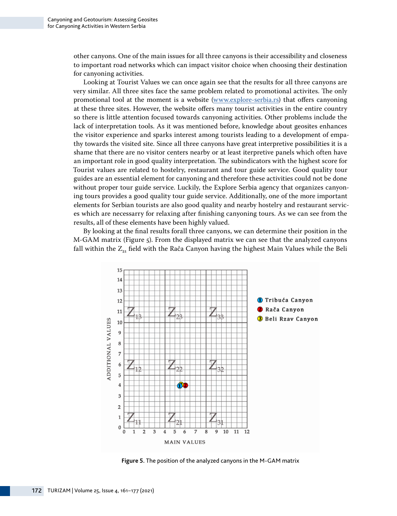other canyons. One of the main issues for all three canyons is their accessibility and closeness to important road networks which can impact visitor choice when choosing their destination for canyoning activities.

Looking at Tourist Values we can once again see that the results for all three canyons are very similar. All three sites face the same problem related to promotional activites. The only promotional tool at the moment is a website [\(www.explore-serbia.rs\)](http://www.explore-serbia.rs) that offers canyoning at these three sites. However, the website offers many tourist activities in the entire country so there is little attention focused towards canyoning activities. Other problems include the lack of interpretation tools. As it was mentioned before, knowledge about geosites enhances the visitor experience and sparks interest among tourists leading to a development of empathy towards the visited site. Since all three canyons have great interpretive possibilities it is a shame that there are no visitor centers nearby or at least iterpretive panels which often have an important role in good quality interpretation. The subindicators with the highest score for Tourist values are related to hostelry, restaurant and tour guide service. Good quality tour guides are an essential element for canyoning and therefore these activities could not be done without proper tour guide service. Luckily, the Explore Serbia agency that organizes canyoning tours provides a good quality tour guide service. Additionally, one of the more important elements for Serbian tourists are also good quality and nearby hostelry and restaurant services which are necessarry for relaxing after finishing canyoning tours. As we can see from the results, all of these elements have been highly valued.

By looking at the final results forall three canyons, we can determine their position in the M-GAM matrix (Figure 5). From the displayed matrix we can see that the analyzed canyons fall within the Z<sub>2</sub>, field with the Rača Canyon having the highest Main Values while the Beli



**Figure 5.** The position of the analyzed canyons in the M-GAM matrix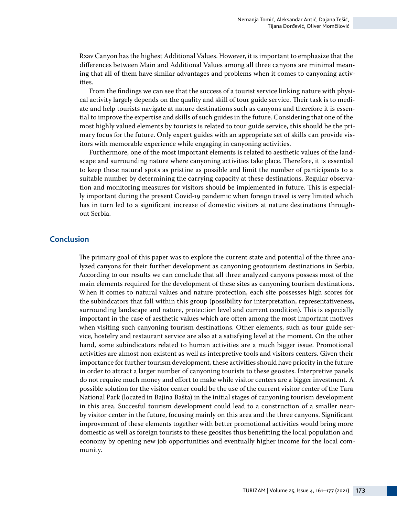Rzav Canyon has the highest Additional Values. However, it is important to emphasize that the differences between Main and Additional Values among all three canyons are minimal meaning that all of them have similar advantages and problems when it comes to canyoning activities.

From the findings we can see that the success of a tourist service linking nature with physical activity largely depends on the quality and skill of tour guide service. Their task is to mediate and help tourists navigate at nature destinations such as canyons and therefore it is essential to improve the expertise and skills of such guides in the future. Considering that one of the most highly valued elements by tourists is related to tour guide service, this should be the primary focus for the future. Only expert guides with an appropriate set of skills can provide visitors with memorable experience while engaging in canyoning activities.

Furthermore, one of the most important elements is related to aesthetic values of the landscape and surrounding nature where canyoning activities take place. Therefore, it is essential to keep these natural spots as pristine as possible and limit the number of participants to a suitable number by determining the carrying capacity at these destinations. Regular observation and monitoring measures for visitors should be implemented in future. This is especially important during the present Covid-19 pandemic when foreign travel is very limited which has in turn led to a significant increase of domestic visitors at nature destinations throughout Serbia.

### **Conclusion**

The primary goal of this paper was to explore the current state and potential of the three analyzed canyons for their further development as canyoning geotourism destinations in Serbia. According to our results we can conclude that all three analyzed canyons possess most of the main elements required for the development of these sites as canyoning tourism destinations. When it comes to natural values and nature protection, each site possesses high scores for the subindcators that fall within this group (possibility for interpretation, representativeness, surrounding landscape and nature, protection level and current condition). This is especially important in the case of aesthetic values which are often among the most important motives when visiting such canyoning tourism destinations. Other elements, such as tour guide service, hostelry and restaurant service are also at a satisfying level at the moment. On the other hand, some subindicators related to human activities are a much bigger issue. Promotional activities are almost non existent as well as interpretive tools and visitors centers. Given their importance for further tourism development, these activities should have priority in the future in order to attract a larger number of canyoning tourists to these geosites. Interpretive panels do not require much money and effort to make while visitor centers are a bigger investment. A possible solution for the visitor center could be the use of the current visitor center of the Tara National Park (located in Bajina Bašta) in the initial stages of canyoning tourism development in this area. Succesful tourism development could lead to a construction of a smaller nearby visitor center in the future, focusing mainly on this area and the three canyons. Significant improvement of these elements together with better promotional activities would bring more domestic as well as foreign tourists to these geosites thus benefitting the local population and economy by opening new job opportunities and eventually higher income for the local community.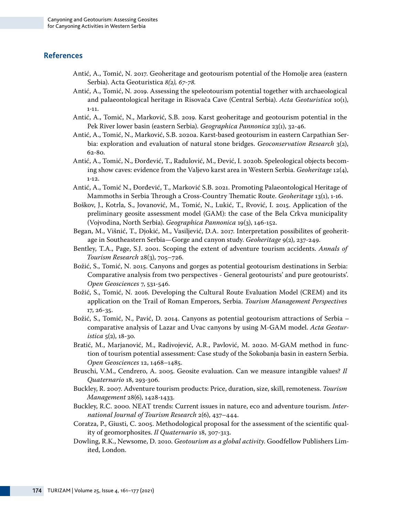## **References**

- Antić, A., Tomić, N. 2017. Geoheritage and geotourism potential of the Homolje area (eastern Serbia). Acta Geoturistica *8(2), 67-78.*
- Antić, A., Tomić, N*. 2*019. Assessing the speleotourism potential together with archaeological and palaeontological heritage in Risovača Cave (Central Serbia). *Acta Geoturistica* 10(1), 1-11.
- Antić, A., Tomić, N., Marković, S.B. 2019. Karst geoheritage and geotourism potential in the Pek River lower basin (eastern Serbia). *Geographica Pannonica* 23(1), 32-46.
- Antić, A., Tomić, N., Marković, S.B. 2020a. Karst-based geotourism in eastern Carpathian Serbia: exploration and evaluation of natural stone bridges. *Geoconservation Research* 3(2), 62-80.
- Antić, A., Tomić, N., Đorđević, T., Radulović, M., Đević, I. 2020b. Speleological objects becoming show caves: evidence from the Valjevo karst area in Western Serbia. *Geoheritage* 12(4), 1-12.
- Antić, A., Tomić N., Đorđević, T., Marković S.B. 2021. Promoting Palaeontological Heritage of Mammoths in Serbia Through a Cross-Country Thematic Route. *Geoheritage* 13(1), 1-16.
- Boškov, J., Kotrla, S., Jovanović, M., Tomić, N., Lukić, T., Rvović, I. 2015. Application of the preliminary geosite assessment model (GAM): the case of the Bela Crkva municipality (Vojvodina, North Serbia). *Geographica Pannonica* 19(3), 146-152.
- Began, M., Višnić, T., Djokić, M., Vasiljević, D.A. 2017. Interpretation possibilites of geoheritage in Southeastern Serbia—Gorge and canyon study. *Geoheritage* 9(2), 237-249.
- Bentley, T.A., Page, S.J. 2001. Scoping the extent of adventure tourism accidents. *Annals of Tourism Research* 28(3), 705–726.
- Božić, S., Tomić, N. 2015. Canyons and gorges as potential geotourism destinations in Serbia: Comparative analysis from two perspectives - General geotourists' and pure geotourists'. *Open Geosciences* 7, 531-546.
- Božić, S., Tomić, N. 2016. Developing the Cultural Route Evaluation Model (CREM) and its application on the Trail of Roman Emperors, Serbia. *Tourism Management Perspectives* 17, 26-35.
- Božić, S., Tomić, N., Pavić, D. 2014. Canyons as potential geotourism attractions of Serbia comparative analysis of Lazar and Uvac canyons by using M-GAM model. *Acta Geoturistica*  $5(2)$ , 18-30.
- Bratić, M., Marjanović, M., Radivojević, A.R., Pavlović, M. 2020. M-GAM method in function of tourism potential assessment: Case study of the Sokobanja basin in eastern Serbia. *Open Geosciences* 12, 1468–1485.
- Bruschi, V.M., Cendrero, A. 2005. Geosite evaluation. Can we measure intangible values? *Il Quaternario* 18, 293-306.
- Buckley, R. 2007. Adventure tourism products: Price, duration, size, skill, remoteness. *Tourism Management* 28(6), 1428-1433.
- Buckley, R.C. 2000. NEAT trends: Current issues in nature, eco and adventure tourism. *International Journal of Tourism Research* 2(6), 437–444.
- Coratza, P., Giusti, C. 2005. Methodological proposal for the assessment of the scientific quality of geomorphosites. *Il Quaternario* 18, 307-313.
- Dowling, R.K., Newsome, D. 2010. *Geotourism as a global activity*. Goodfellow Publishers Limited, London.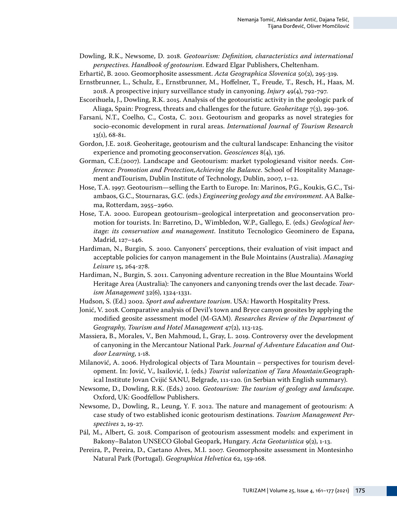Dowling, R.K., Newsome, D. 2018. *Geotourism: Definition, characteristics and international perspectives. Handbook of geotourism*. Edward Elgar Publishers, Cheltenham.

- Erhartič, B. 2010. Geomorphosite assessment. *Acta Geographica Slovenica* 50(2), 295-319.
- Ernstbrunner, L., Schulz, E., Ernstbrunner, M., Hoffelner, T., Freude, T., Resch, H., Haas, M. 2018. A prospective injury surveillance study in canyoning. *Injury* 49(4), 792-797.
- Escorihuela, J., Dowling, R.K. 2015. Analysis of the geotouristic activity in the geologic park of Aliaga, Spain: Progress, threats and challenges for the future. *Geoheritage* 7(3), 299-306.
- Farsani, N.T., Coelho, C., Costa, C. 2011. Geotourism and geoparks as novel strategies for socio-economic development in rural areas. *International Journal of Tourism Research* 13(1), 68-81.
- Gordon, J.E. 2018. Geoheritage, geotourism and the cultural landscape: Enhancing the visitor experience and promoting geoconservation. *Geosciences* 8(4), 136.
- Gorman, C.E.(2007). Landscape and Geotourism: market typologiesand visitor needs. *Conference: Promotion and Protection,Achieving the Balance*. School of Hospitality Management andTourism, Dublin Institute of Technology, Dublin, 2007, 1–12.
- Hose, T.A. 1997. Geotourism—selling the Earth to Europe. In: Marinos, P.G., Koukis, G.C., Tsiambaos, G.C., Stournaras, G.C. (eds.) *Engineering geology and the environment*. AA Balkema, Rotterdam, 2955–2960.
- Hose, T.A. 2000. European geotourism–geological interpretation and geoconservation promotion for tourists. In: Barretino, D., Wimbledon, W.P., Gallego, E. (eds.) *Geological heritage: its conservation and management*. Instituto Tecnologico Geominero de Espana, Madrid, 127–146.
- Hardiman, N., Burgin, S. 2010. Canyoners' perceptions, their evaluation of visit impact and acceptable policies for canyon management in the Bule Mointains (Australia). *Managing Leisure* 15, 264-278.
- Hardiman, N., Burgin, S. 2011. Canyoning adventure recreation in the Blue Mountains World Heritage Area (Australia): The canyoners and canyoning trends over the last decade. *Tourism Management* 32(6), 1324-1331.
- Hudson, S. (Ed.) 2002. *Sport and adventure tourism*. USA: Haworth Hospitality Press.
- Jonić, V. 2018. Comparative analysis of Devil's town and Bryce canyon geosites by applying the modified geosite assessment model (M-GAM). *Researches Review of the Department of Geography, Tourism and Hotel Management* 47(2), 113-125.
- Massiera, B., Morales, V., Ben Mahmoud, I., Gray, L. 2019. Controversy over the development of canyoning in the Mercantour National Park. *Journal of Adventure Education and Outdoor Learning*, 1-18.
- Milanović, A. 2006. Hydrological objects of Tara Mountain perspectives for tourism development. In: Jović, V., Isailović, I. (eds.) *Tourist valorization of Tara Mountain*.Geographical Institute Jovan Cvijić SANU, Belgrade, 111-120. (in Serbian with English summary).
- Newsome, D., Dowling, R.K. (Eds.) 2010. *Geotourism: The tourism of geology and landscape*. Oxford, UK: Goodfellow Publishers.
- Newsome, D., Dowling, R., Leung, Y. F. 2012. The nature and management of geotourism: A case study of two established iconic geotourism destinations. *Tourism Management Perspectives* 2, 19-27.
- Pál, M., Albert, G. 2018. Comparison of geotourism assessment models: and experiment in Bakony–Balaton UNSECO Global Geopark, Hungary. *Acta Geoturistica* 9(2), 1-13.
- Pereira, P., Pereira, D., Caetano Alves, M.I. 2007. Geomorphosite assessment in Montesinho Natural Park (Portugal). *Geographica Helvetica* 62, 159-168.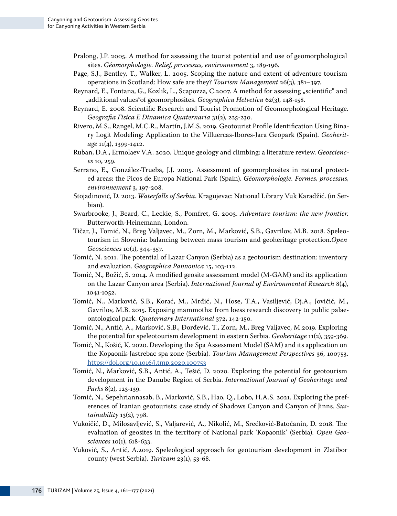- Pralong, J.P. 2005. A method for assessing the tourist potential and use of geomorphological sites. *Géomorphologie. Relief, processus, environnement* 3, 189-196.
- Page, S.J., Bentley, T., Walker, L. 2005. Scoping the nature and extent of adventure tourism operations in Scotland: How safe are they? *Tourism Management* 26(3), 381–397.
- Reynard, E., Fontana, G., Kozlik, L., Scapozza, C.2007. A method for assessing "scientific" and "additional values"of geomorphosites. *Geographica Helvetica* 62(3), 148-158.
- Reynard, E. 2008. Scientific Research and Tourist Promotion of Geomorphological Heritage. *Geografia Fisica E Dinamica Quaternaria* 31(2), 225-230.
- Rivero, M.S., Rangel, M.C.R., Martín, J.M.S. 2019. Geotourist Profile Identification Using Binary Logit Modeling: Application to the Villuercas-Ibores-Jara Geopark (Spain). *Geoheritage* 11(4), 1399-1412.
- Ruban, D.A., Ermolaev V.A. 2020. Unique geology and climbing: a literature review. *Geosciences* 10, 259.
- Serrano, E., González-Trueba, J.J. 2005. Assessment of geomorphosites in natural protected areas: the Picos de Europa National Park (Spain). *Géomorphologie. Formes, processus, environnement* 3, 197-208.
- Stojadinović, D. 2013. *Waterfalls of Serbia*. Kragujevac: National Library Vuk Karadžić. (in Serbian).
- Swarbrooke, J., Beard, C., Leckie, S., Pomfret, G. 2003. *Adventure tourism: the new frontier*. Butterworth-Heinemann, London.
- Tičar, J., Tomić, N., Breg Valjavec, M., Zorn, M., Marković, S.B., Gavrilov, M.B. 2018. Speleotourism in Slovenia: balancing between mass tourism and geoheritage protection.*Open Geosciences* 10(1), 344-357.
- Tomić, N. 2011. The potential of Lazar Canyon (Serbia) as a geotourism destination: inventory and evaluation. *Geographica Pannonica* 15, 103-112.
- Tomić, N., Božić, S. 2014. A modified geosite assessment model (M-GAM) and its application on the Lazar Canyon area (Serbia). *International Journal of Environmental Research* 8(4), 1041-1052.
- Tomić, N., Marković, S.B., Korać, M., Mrđić, N., Hose, T.A., Vasiljević, Dj.A., Jovičić, M., Gavrilov, M.B. 2015. Exposing mammoths: from loess research discovery to public palaeontological park. *Quaternary International* 372, 142-150.
- Tomić, N., Antić, A., Marković, S.B., Đorđević, T., Zorn, M., Breg Valjavec, M.2019. Exploring the potential for speleotourism development in eastern Serbia. *Geoheritage* 11(2), 359-369.
- Tomić, N., Košić, K. 2020. Developing the Spa Assessment Model (SAM) and its application on the Kopaonik-Jastrebac spa zone (Serbia). *Tourism Management Perspectives* 36, 100753. <https://doi.org/10.1016/j.tmp.2020.100753>
- Tomić, N., Marković, S.B., Antić, A., Tešić, D. 2020. Exploring the potential for geotourism development in the Danube Region of Serbia. *International Journal of Geoheritage and Parks* 8(2), 123-139.
- Tomić, N., Sepehriannasab, B., Marković, S.B., Hao, Q., Lobo, H.A.S. 2021. Exploring the preferences of Iranian geotourists: case study of Shadows Canyon and Canyon of Jinns. *Sustainability* 13(2), 798.
- Vukoičić, D., Milosavljević, S., Valjarević, A., Nikolić, M., Srećković-Batoćanin, D. 2018. The evaluation of geosites in the territory of National park 'Kopaonik' (Serbia). *Open Geosciences* 10(1), 618-633.
- Vuković, S., Antić, A.2019. Speleological approach for geotourism development in Zlatibor county (west Serbia). *Turizam* 23(1), 53-68.